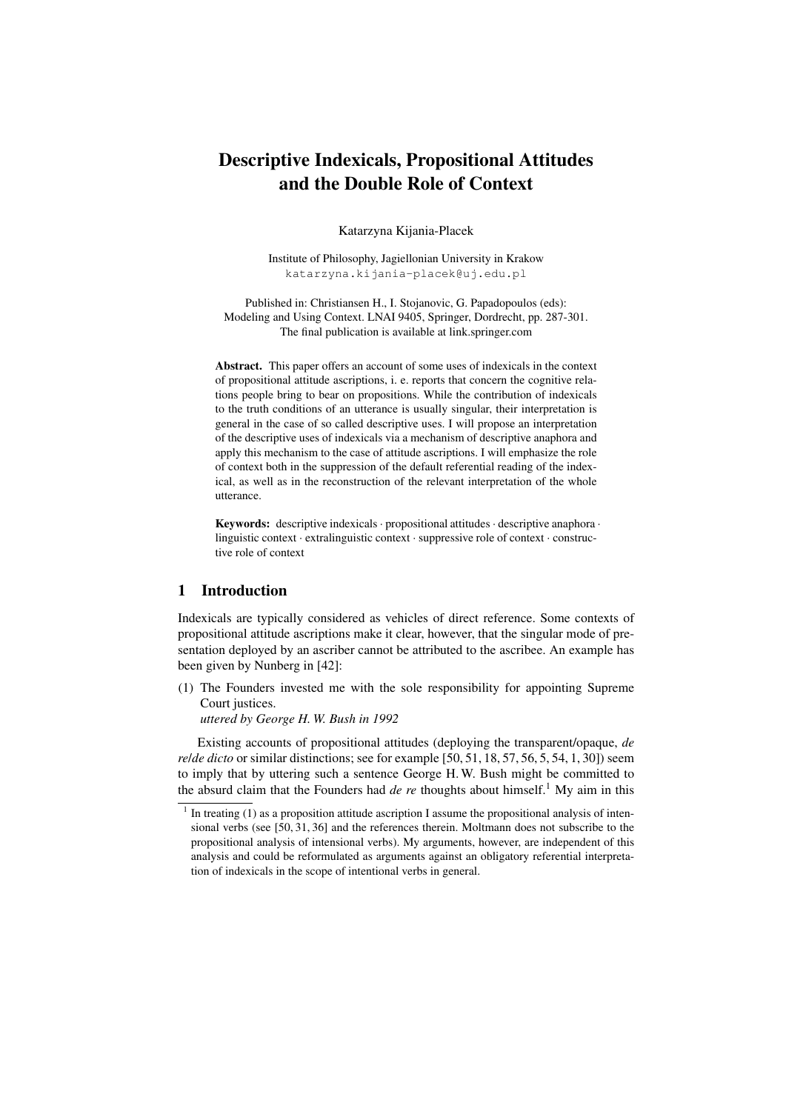# Descriptive Indexicals, Propositional Attitudes and the Double Role of Context

Katarzyna Kijania-Placek

Institute of Philosophy, Jagiellonian University in Krakow katarzyna.kijania-placek@uj.edu.pl

Published in: Christiansen H., I. Stojanovic, G. Papadopoulos (eds): Modeling and Using Context. LNAI 9405, Springer, Dordrecht, pp. 287-301. The final publication is available at link.springer.com

Abstract. This paper offers an account of some uses of indexicals in the context of propositional attitude ascriptions, i. e. reports that concern the cognitive relations people bring to bear on propositions. While the contribution of indexicals to the truth conditions of an utterance is usually singular, their interpretation is general in the case of so called descriptive uses. I will propose an interpretation of the descriptive uses of indexicals via a mechanism of descriptive anaphora and apply this mechanism to the case of attitude ascriptions. I will emphasize the role of context both in the suppression of the default referential reading of the indexical, as well as in the reconstruction of the relevant interpretation of the whole utterance.

Keywords: descriptive indexicals · propositional attitudes · descriptive anaphora · linguistic context · extralinguistic context · suppressive role of context · constructive role of context

# 1 Introduction

Indexicals are typically considered as vehicles of direct reference. Some contexts of propositional attitude ascriptions make it clear, however, that the singular mode of presentation deployed by an ascriber cannot be attributed to the ascribee. An example has been given by Nunberg in [42]:

(1) The Founders invested me with the sole responsibility for appointing Supreme Court justices.

*uttered by George H. W. Bush in 1992*

Existing accounts of propositional attitudes (deploying the transparent/opaque, *de re*/*de dicto* or similar distinctions; see for example [50, 51, 18, 57, 56, 5, 54, 1, 30]) seem to imply that by uttering such a sentence George H. W. Bush might be committed to the absurd claim that the Founders had *de re* thoughts about himself.<sup>1</sup> My aim in this

 $<sup>1</sup>$  In treating (1) as a proposition attitude ascription I assume the propositional analysis of inten-</sup> sional verbs (see [50, 31, 36] and the references therein. Moltmann does not subscribe to the propositional analysis of intensional verbs). My arguments, however, are independent of this analysis and could be reformulated as arguments against an obligatory referential interpretation of indexicals in the scope of intentional verbs in general.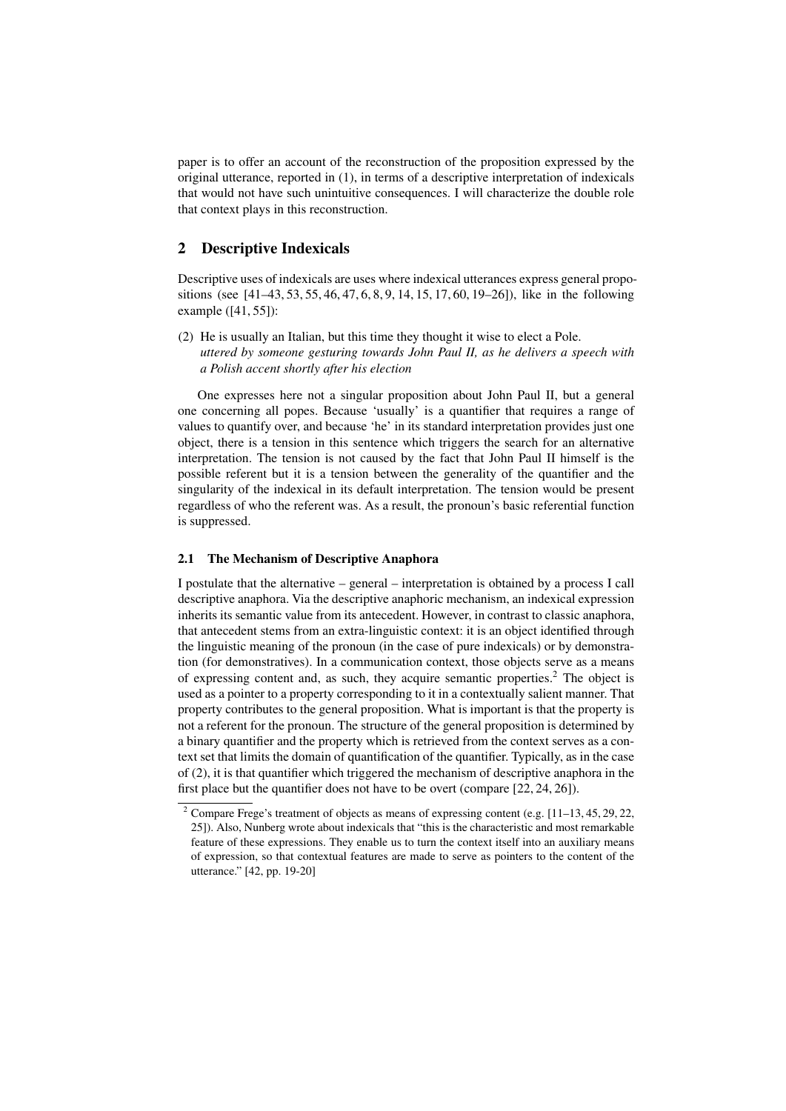paper is to offer an account of the reconstruction of the proposition expressed by the original utterance, reported in (1), in terms of a descriptive interpretation of indexicals that would not have such unintuitive consequences. I will characterize the double role that context plays in this reconstruction.

# 2 Descriptive Indexicals

Descriptive uses of indexicals are uses where indexical utterances express general propositions (see [41–43, 53, 55, 46, 47, 6, 8, 9, 14, 15, 17, 60, 19–26]), like in the following example ([41, 55]):

(2) He is usually an Italian, but this time they thought it wise to elect a Pole. *uttered by someone gesturing towards John Paul II, as he delivers a speech with a Polish accent shortly after his election*

One expresses here not a singular proposition about John Paul II, but a general one concerning all popes. Because 'usually' is a quantifier that requires a range of values to quantify over, and because 'he' in its standard interpretation provides just one object, there is a tension in this sentence which triggers the search for an alternative interpretation. The tension is not caused by the fact that John Paul II himself is the possible referent but it is a tension between the generality of the quantifier and the singularity of the indexical in its default interpretation. The tension would be present regardless of who the referent was. As a result, the pronoun's basic referential function is suppressed.

### 2.1 The Mechanism of Descriptive Anaphora

I postulate that the alternative – general – interpretation is obtained by a process I call descriptive anaphora. Via the descriptive anaphoric mechanism, an indexical expression inherits its semantic value from its antecedent. However, in contrast to classic anaphora, that antecedent stems from an extra-linguistic context: it is an object identified through the linguistic meaning of the pronoun (in the case of pure indexicals) or by demonstration (for demonstratives). In a communication context, those objects serve as a means of expressing content and, as such, they acquire semantic properties.<sup>2</sup> The object is used as a pointer to a property corresponding to it in a contextually salient manner. That property contributes to the general proposition. What is important is that the property is not a referent for the pronoun. The structure of the general proposition is determined by a binary quantifier and the property which is retrieved from the context serves as a context set that limits the domain of quantification of the quantifier. Typically, as in the case of (2), it is that quantifier which triggered the mechanism of descriptive anaphora in the first place but the quantifier does not have to be overt (compare [22, 24, 26]).

<sup>&</sup>lt;sup>2</sup> Compare Frege's treatment of objects as means of expressing content (e.g.  $[11-13, 45, 29, 22,$ 25]). Also, Nunberg wrote about indexicals that "this is the characteristic and most remarkable feature of these expressions. They enable us to turn the context itself into an auxiliary means of expression, so that contextual features are made to serve as pointers to the content of the utterance." [42, pp. 19-20]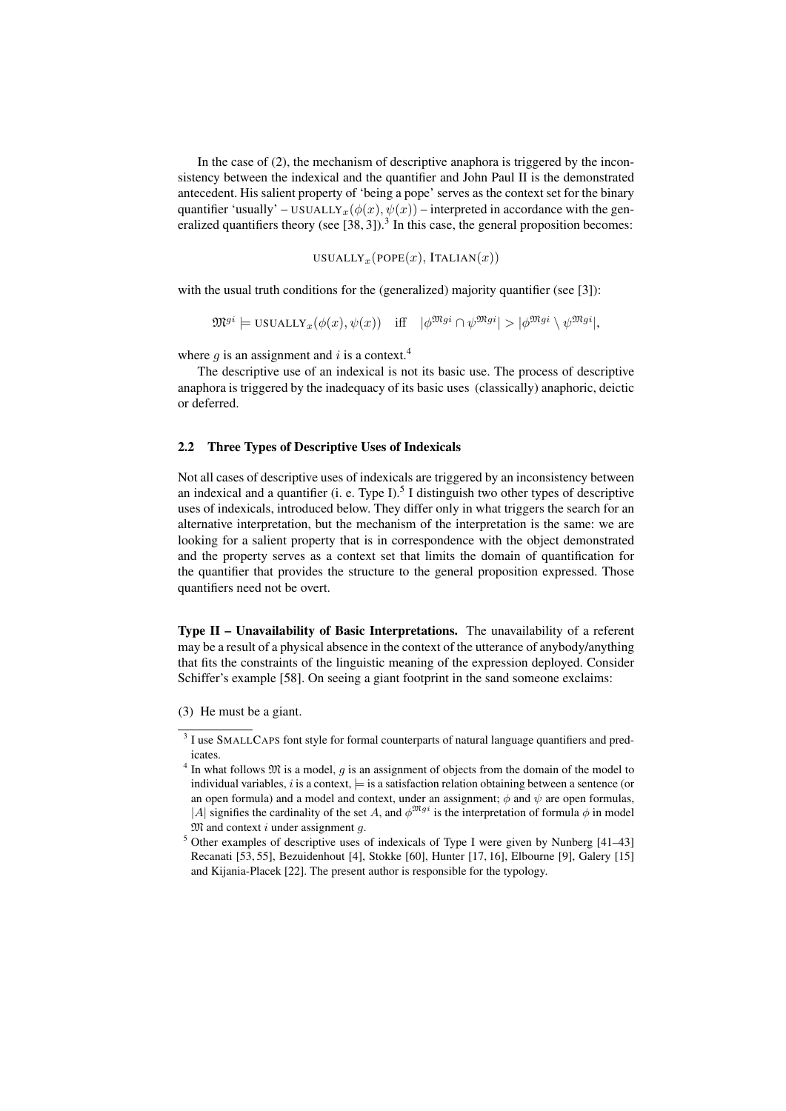In the case of (2), the mechanism of descriptive anaphora is triggered by the inconsistency between the indexical and the quantifier and John Paul II is the demonstrated antecedent. His salient property of 'being a pope' serves as the context set for the binary quantifier 'usually' – USUALLY<sub>x</sub>( $\phi(x)$ ,  $\psi(x)$ ) – interpreted in accordance with the generalized quantifiers theory (see  $[38, 3]$ ).<sup>3</sup> In this case, the general proposition becomes:

```
USUALLY<sub>x</sub>(POPE(x), ITALIAN(x))
```
with the usual truth conditions for the (generalized) majority quantifier (see [3]):

$$
\mathfrak{M}^{gi} \models \text{USUALY}_x(\phi(x), \psi(x)) \quad \text{iff} \quad |\phi^{\mathfrak{M}gi} \cap \psi^{\mathfrak{M}gi}| > |\phi^{\mathfrak{M}gi} \setminus \psi^{\mathfrak{M}gi}|,
$$

where  $q$  is an assignment and i is a context.<sup>4</sup>

The descriptive use of an indexical is not its basic use. The process of descriptive anaphora is triggered by the inadequacy of its basic uses (classically) anaphoric, deictic or deferred.

### 2.2 Three Types of Descriptive Uses of Indexicals

Not all cases of descriptive uses of indexicals are triggered by an inconsistency between an indexical and a quantifier  $(i. e. Type I)<sup>5</sup> I$  distinguish two other types of descriptive uses of indexicals, introduced below. They differ only in what triggers the search for an alternative interpretation, but the mechanism of the interpretation is the same: we are looking for a salient property that is in correspondence with the object demonstrated and the property serves as a context set that limits the domain of quantification for the quantifier that provides the structure to the general proposition expressed. Those quantifiers need not be overt.

Type II – Unavailability of Basic Interpretations. The unavailability of a referent may be a result of a physical absence in the context of the utterance of anybody/anything that fits the constraints of the linguistic meaning of the expression deployed. Consider Schiffer's example [58]. On seeing a giant footprint in the sand someone exclaims:

<sup>(3)</sup> He must be a giant.

<sup>&</sup>lt;sup>3</sup> I use SMALLCAPS font style for formal counterparts of natural language quantifiers and predicates.

 $4$  In what follows  $\mathfrak M$  is a model, g is an assignment of objects from the domain of the model to individual variables, i is a context,  $\models$  is a satisfaction relation obtaining between a sentence (or an open formula) and a model and context, under an assignment;  $\phi$  and  $\psi$  are open formulas, |A| signifies the cardinality of the set A, and  $\phi^{\mathfrak{M}gi}$  is the interpretation of formula  $\phi$  in model  $\mathfrak{M}$  and context i under assignment q.

<sup>5</sup> Other examples of descriptive uses of indexicals of Type I were given by Nunberg [41–43] Recanati [53, 55], Bezuidenhout [4], Stokke [60], Hunter [17, 16], Elbourne [9], Galery [15] and Kijania-Placek [22]. The present author is responsible for the typology.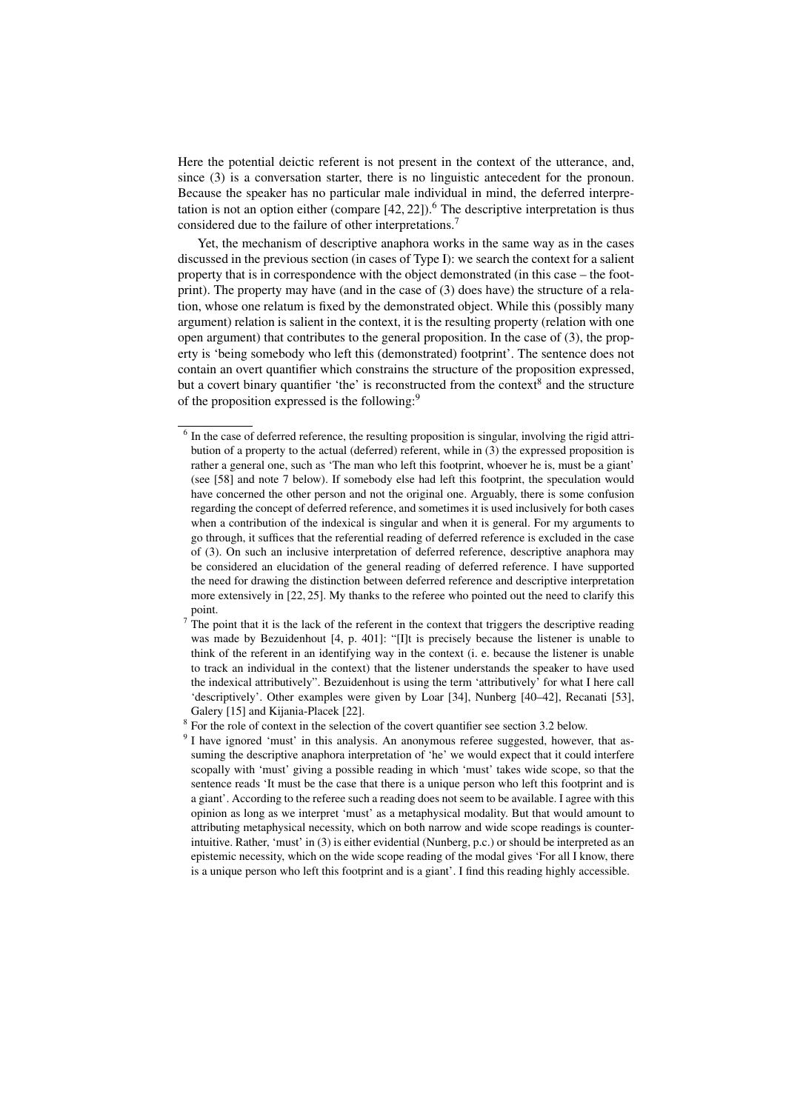Here the potential deictic referent is not present in the context of the utterance, and, since (3) is a conversation starter, there is no linguistic antecedent for the pronoun. Because the speaker has no particular male individual in mind, the deferred interpretation is not an option either (compare  $[42, 22]$ ).<sup>6</sup> The descriptive interpretation is thus considered due to the failure of other interpretations.<sup>7</sup>

Yet, the mechanism of descriptive anaphora works in the same way as in the cases discussed in the previous section (in cases of Type I): we search the context for a salient property that is in correspondence with the object demonstrated (in this case – the footprint). The property may have (and in the case of (3) does have) the structure of a relation, whose one relatum is fixed by the demonstrated object. While this (possibly many argument) relation is salient in the context, it is the resulting property (relation with one open argument) that contributes to the general proposition. In the case of (3), the property is 'being somebody who left this (demonstrated) footprint'. The sentence does not contain an overt quantifier which constrains the structure of the proposition expressed, but a covert binary quantifier 'the' is reconstructed from the context $^8$  and the structure of the proposition expressed is the following:<sup>9</sup>

<sup>&</sup>lt;sup>6</sup> In the case of deferred reference, the resulting proposition is singular, involving the rigid attribution of a property to the actual (deferred) referent, while in (3) the expressed proposition is rather a general one, such as 'The man who left this footprint, whoever he is, must be a giant' (see [58] and note 7 below). If somebody else had left this footprint, the speculation would have concerned the other person and not the original one. Arguably, there is some confusion regarding the concept of deferred reference, and sometimes it is used inclusively for both cases when a contribution of the indexical is singular and when it is general. For my arguments to go through, it suffices that the referential reading of deferred reference is excluded in the case of (3). On such an inclusive interpretation of deferred reference, descriptive anaphora may be considered an elucidation of the general reading of deferred reference. I have supported the need for drawing the distinction between deferred reference and descriptive interpretation more extensively in [22, 25]. My thanks to the referee who pointed out the need to clarify this point.

 $\overline{7}$  The point that it is the lack of the referent in the context that triggers the descriptive reading was made by Bezuidenhout [4, p. 401]: "[I]t is precisely because the listener is unable to think of the referent in an identifying way in the context (i. e. because the listener is unable to track an individual in the context) that the listener understands the speaker to have used the indexical attributively". Bezuidenhout is using the term 'attributively' for what I here call 'descriptively'. Other examples were given by Loar [34], Nunberg [40–42], Recanati [53], Galery [15] and Kijania-Placek [22].

<sup>&</sup>lt;sup>8</sup> For the role of context in the selection of the covert quantifier see section 3.2 below.

<sup>&</sup>lt;sup>9</sup> I have ignored 'must' in this analysis. An anonymous referee suggested, however, that assuming the descriptive anaphora interpretation of 'he' we would expect that it could interfere scopally with 'must' giving a possible reading in which 'must' takes wide scope, so that the sentence reads 'It must be the case that there is a unique person who left this footprint and is a giant'. According to the referee such a reading does not seem to be available. I agree with this opinion as long as we interpret 'must' as a metaphysical modality. But that would amount to attributing metaphysical necessity, which on both narrow and wide scope readings is counterintuitive. Rather, 'must' in (3) is either evidential (Nunberg, p.c.) or should be interpreted as an epistemic necessity, which on the wide scope reading of the modal gives 'For all I know, there is a unique person who left this footprint and is a giant'. I find this reading highly accessible.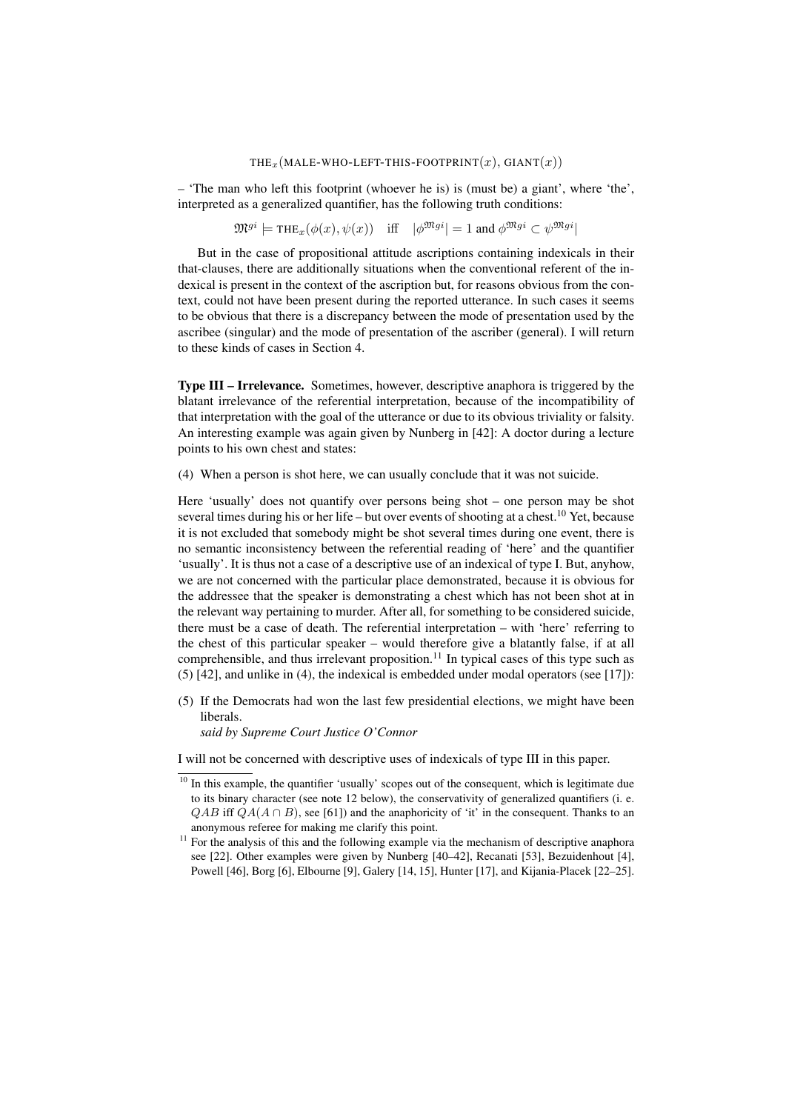#### THE<sub>x</sub>(MALE-WHO-LEFT-THIS-FOOTPRINT(x), GIANT(x))

– 'The man who left this footprint (whoever he is) is (must be) a giant', where 'the', interpreted as a generalized quantifier, has the following truth conditions:

 $\mathfrak{M}^{gi} \models \text{THE}_x(\phi(x), \psi(x))$  iff  $|\phi^{\mathfrak{M}gi}| = 1$  and  $\phi^{\mathfrak{M}gi} \in \psi^{\mathfrak{M}gi}|$ 

But in the case of propositional attitude ascriptions containing indexicals in their that-clauses, there are additionally situations when the conventional referent of the indexical is present in the context of the ascription but, for reasons obvious from the context, could not have been present during the reported utterance. In such cases it seems to be obvious that there is a discrepancy between the mode of presentation used by the ascribee (singular) and the mode of presentation of the ascriber (general). I will return to these kinds of cases in Section 4.

Type III – Irrelevance. Sometimes, however, descriptive anaphora is triggered by the blatant irrelevance of the referential interpretation, because of the incompatibility of that interpretation with the goal of the utterance or due to its obvious triviality or falsity. An interesting example was again given by Nunberg in [42]: A doctor during a lecture points to his own chest and states:

(4) When a person is shot here, we can usually conclude that it was not suicide.

Here 'usually' does not quantify over persons being shot – one person may be shot several times during his or her life – but over events of shooting at a chest.<sup>10</sup> Yet, because it is not excluded that somebody might be shot several times during one event, there is no semantic inconsistency between the referential reading of 'here' and the quantifier 'usually'. It is thus not a case of a descriptive use of an indexical of type I. But, anyhow, we are not concerned with the particular place demonstrated, because it is obvious for the addressee that the speaker is demonstrating a chest which has not been shot at in the relevant way pertaining to murder. After all, for something to be considered suicide, there must be a case of death. The referential interpretation – with 'here' referring to the chest of this particular speaker – would therefore give a blatantly false, if at all comprehensible, and thus irrelevant proposition.<sup>11</sup> In typical cases of this type such as (5) [42], and unlike in (4), the indexical is embedded under modal operators (see [17]):

(5) If the Democrats had won the last few presidential elections, we might have been liberals. *said by Supreme Court Justice O'Connor*

I will not be concerned with descriptive uses of indexicals of type III in this paper.

<sup>&</sup>lt;sup>10</sup> In this example, the quantifier 'usually' scopes out of the consequent, which is legitimate due to its binary character (see note 12 below), the conservativity of generalized quantifiers (i. e. QAB iff  $QA(A \cap B)$ , see [61]) and the anaphoricity of 'it' in the consequent. Thanks to an anonymous referee for making me clarify this point.

<sup>&</sup>lt;sup>11</sup> For the analysis of this and the following example via the mechanism of descriptive anaphora see [22]. Other examples were given by Nunberg [40–42], Recanati [53], Bezuidenhout [4], Powell [46], Borg [6], Elbourne [9], Galery [14, 15], Hunter [17], and Kijania-Placek [22–25].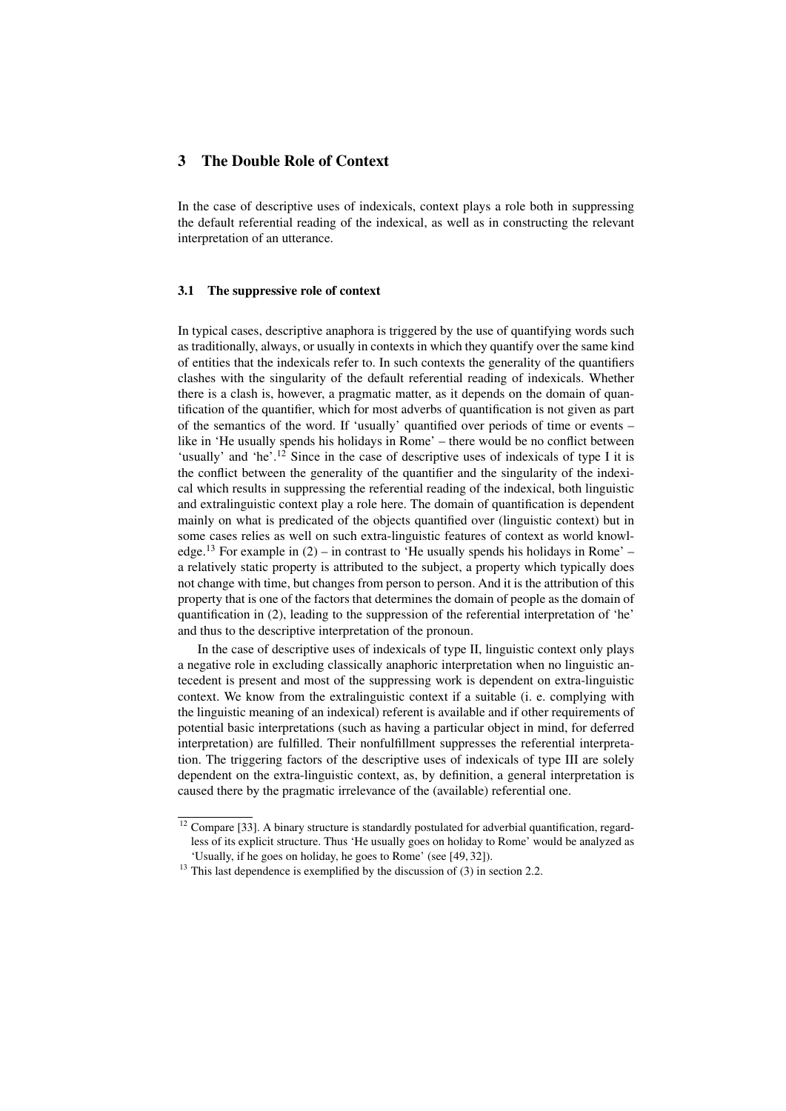# 3 The Double Role of Context

In the case of descriptive uses of indexicals, context plays a role both in suppressing the default referential reading of the indexical, as well as in constructing the relevant interpretation of an utterance.

#### 3.1 The suppressive role of context

In typical cases, descriptive anaphora is triggered by the use of quantifying words such as traditionally, always, or usually in contexts in which they quantify over the same kind of entities that the indexicals refer to. In such contexts the generality of the quantifiers clashes with the singularity of the default referential reading of indexicals. Whether there is a clash is, however, a pragmatic matter, as it depends on the domain of quantification of the quantifier, which for most adverbs of quantification is not given as part of the semantics of the word. If 'usually' quantified over periods of time or events – like in 'He usually spends his holidays in Rome' – there would be no conflict between 'usually' and 'he'.<sup>12</sup> Since in the case of descriptive uses of indexicals of type I it is the conflict between the generality of the quantifier and the singularity of the indexical which results in suppressing the referential reading of the indexical, both linguistic and extralinguistic context play a role here. The domain of quantification is dependent mainly on what is predicated of the objects quantified over (linguistic context) but in some cases relies as well on such extra-linguistic features of context as world knowledge.<sup>13</sup> For example in (2) – in contrast to 'He usually spends his holidays in Rome' – a relatively static property is attributed to the subject, a property which typically does not change with time, but changes from person to person. And it is the attribution of this property that is one of the factors that determines the domain of people as the domain of quantification in  $(2)$ , leading to the suppression of the referential interpretation of 'he' and thus to the descriptive interpretation of the pronoun.

In the case of descriptive uses of indexicals of type II, linguistic context only plays a negative role in excluding classically anaphoric interpretation when no linguistic antecedent is present and most of the suppressing work is dependent on extra-linguistic context. We know from the extralinguistic context if a suitable (i. e. complying with the linguistic meaning of an indexical) referent is available and if other requirements of potential basic interpretations (such as having a particular object in mind, for deferred interpretation) are fulfilled. Their nonfulfillment suppresses the referential interpretation. The triggering factors of the descriptive uses of indexicals of type III are solely dependent on the extra-linguistic context, as, by definition, a general interpretation is caused there by the pragmatic irrelevance of the (available) referential one.

<sup>&</sup>lt;sup>12</sup> Compare [33]. A binary structure is standardly postulated for adverbial quantification, regardless of its explicit structure. Thus 'He usually goes on holiday to Rome' would be analyzed as 'Usually, if he goes on holiday, he goes to Rome' (see [49, 32]).

 $13$  This last dependence is exemplified by the discussion of (3) in section 2.2.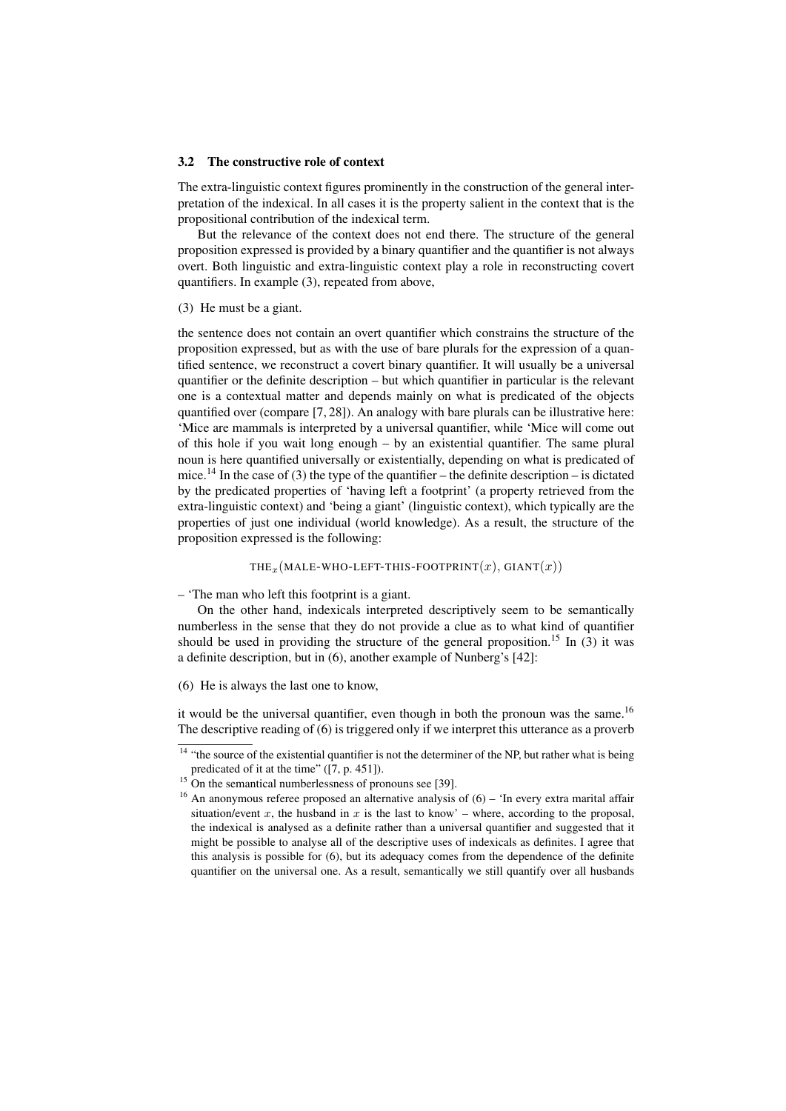#### 3.2 The constructive role of context

The extra-linguistic context figures prominently in the construction of the general interpretation of the indexical. In all cases it is the property salient in the context that is the propositional contribution of the indexical term.

But the relevance of the context does not end there. The structure of the general proposition expressed is provided by a binary quantifier and the quantifier is not always overt. Both linguistic and extra-linguistic context play a role in reconstructing covert quantifiers. In example (3), repeated from above,

#### (3) He must be a giant.

the sentence does not contain an overt quantifier which constrains the structure of the proposition expressed, but as with the use of bare plurals for the expression of a quantified sentence, we reconstruct a covert binary quantifier. It will usually be a universal quantifier or the definite description – but which quantifier in particular is the relevant one is a contextual matter and depends mainly on what is predicated of the objects quantified over (compare [7, 28]). An analogy with bare plurals can be illustrative here: 'Mice are mammals is interpreted by a universal quantifier, while 'Mice will come out of this hole if you wait long enough – by an existential quantifier. The same plural noun is here quantified universally or existentially, depending on what is predicated of mice.<sup>14</sup> In the case of (3) the type of the quantifier – the definite description – is dictated by the predicated properties of 'having left a footprint' (a property retrieved from the extra-linguistic context) and 'being a giant' (linguistic context), which typically are the properties of just one individual (world knowledge). As a result, the structure of the proposition expressed is the following:

## THE<sub>x</sub>(MALE-WHO-LEFT-THIS-FOOTPRINT(x), GIANT(x))

– 'The man who left this footprint is a giant.

On the other hand, indexicals interpreted descriptively seem to be semantically numberless in the sense that they do not provide a clue as to what kind of quantifier should be used in providing the structure of the general proposition.<sup>15</sup> In  $(3)$  it was a definite description, but in (6), another example of Nunberg's [42]:

(6) He is always the last one to know,

it would be the universal quantifier, even though in both the pronoun was the same.<sup>16</sup> The descriptive reading of (6) is triggered only if we interpret this utterance as a proverb

<sup>&</sup>lt;sup>14</sup> "the source of the existential quantifier is not the determiner of the NP, but rather what is being predicated of it at the time" ([7, p. 451]).

<sup>15</sup> On the semantical numberlessness of pronouns see [39].

<sup>&</sup>lt;sup>16</sup> An anonymous referee proposed an alternative analysis of  $(6)$  – 'In every extra marital affair situation/event x, the husband in x is the last to know' – where, according to the proposal, the indexical is analysed as a definite rather than a universal quantifier and suggested that it might be possible to analyse all of the descriptive uses of indexicals as definites. I agree that this analysis is possible for (6), but its adequacy comes from the dependence of the definite quantifier on the universal one. As a result, semantically we still quantify over all husbands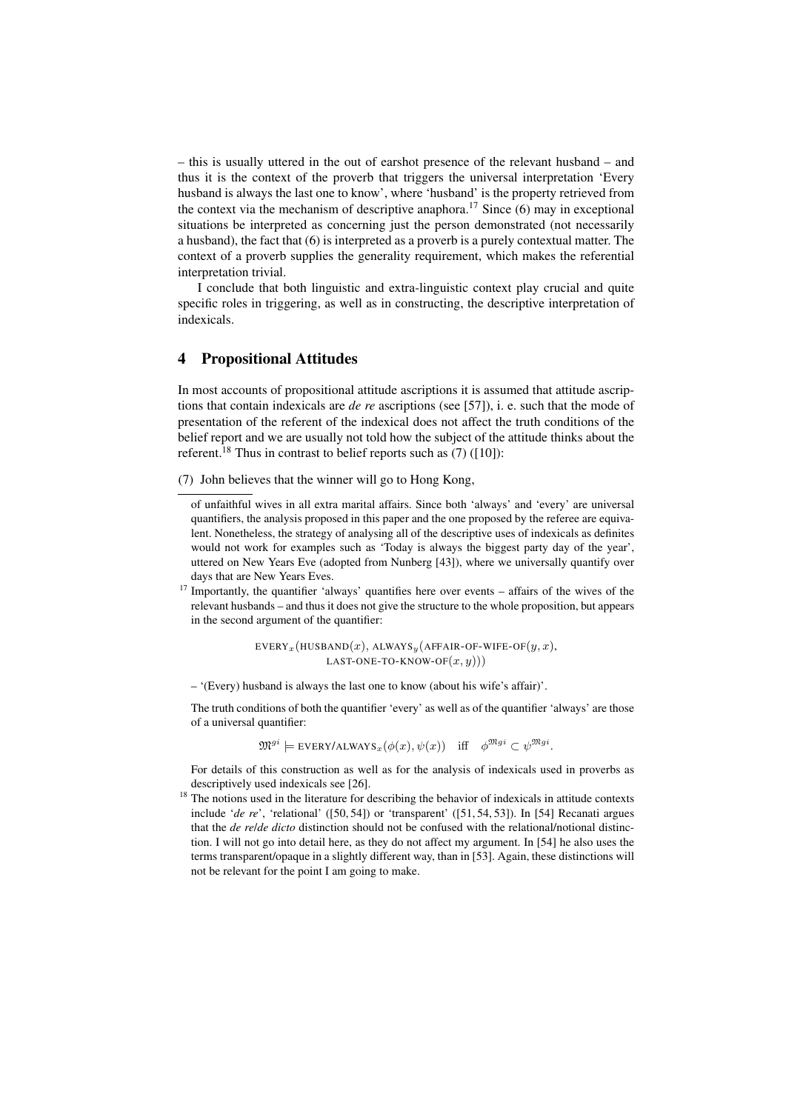– this is usually uttered in the out of earshot presence of the relevant husband – and thus it is the context of the proverb that triggers the universal interpretation 'Every husband is always the last one to know', where 'husband' is the property retrieved from the context via the mechanism of descriptive anaphora.<sup>17</sup> Since  $(6)$  may in exceptional situations be interpreted as concerning just the person demonstrated (not necessarily a husband), the fact that (6) is interpreted as a proverb is a purely contextual matter. The context of a proverb supplies the generality requirement, which makes the referential interpretation trivial.

I conclude that both linguistic and extra-linguistic context play crucial and quite specific roles in triggering, as well as in constructing, the descriptive interpretation of indexicals.

# 4 Propositional Attitudes

In most accounts of propositional attitude ascriptions it is assumed that attitude ascriptions that contain indexicals are *de re* ascriptions (see [57]), i. e. such that the mode of presentation of the referent of the indexical does not affect the truth conditions of the belief report and we are usually not told how the subject of the attitude thinks about the referent.<sup>18</sup> Thus in contrast to belief reports such as  $(7)$  ([10]):

(7) John believes that the winner will go to Hong Kong,

<sup>17</sup> Importantly, the quantifier 'always' quantifies here over events – affairs of the wives of the relevant husbands – and thus it does not give the structure to the whole proposition, but appears in the second argument of the quantifier:

> $EVERY_x(HUSBAND(x), ALWAYS_y(AFFAIR-OF-WIFE-OF(y, x)),$ LAST-ONE-TO-KNOW-OF $(x, y)$ )

– '(Every) husband is always the last one to know (about his wife's affair)'.

The truth conditions of both the quantifier 'every' as well as of the quantifier 'always' are those of a universal quantifier:

 $\mathfrak{M}^{gi} \models$  EVERY/ALWAYS<sub>x</sub>( $\phi(x), \psi(x)$ ) iff  $\phi^{\mathfrak{M}gi} \subset \psi^{\mathfrak{M}gi}$ .

For details of this construction as well as for the analysis of indexicals used in proverbs as descriptively used indexicals see [26].

<sup>18</sup> The notions used in the literature for describing the behavior of indexicals in attitude contexts include '*de re*', 'relational' ([50, 54]) or 'transparent' ([51, 54, 53]). In [54] Recanati argues that the *de re*/*de dicto* distinction should not be confused with the relational/notional distinction. I will not go into detail here, as they do not affect my argument. In [54] he also uses the terms transparent/opaque in a slightly different way, than in [53]. Again, these distinctions will not be relevant for the point I am going to make.

of unfaithful wives in all extra marital affairs. Since both 'always' and 'every' are universal quantifiers, the analysis proposed in this paper and the one proposed by the referee are equivalent. Nonetheless, the strategy of analysing all of the descriptive uses of indexicals as definites would not work for examples such as 'Today is always the biggest party day of the year', uttered on New Years Eve (adopted from Nunberg [43]), where we universally quantify over days that are New Years Eves.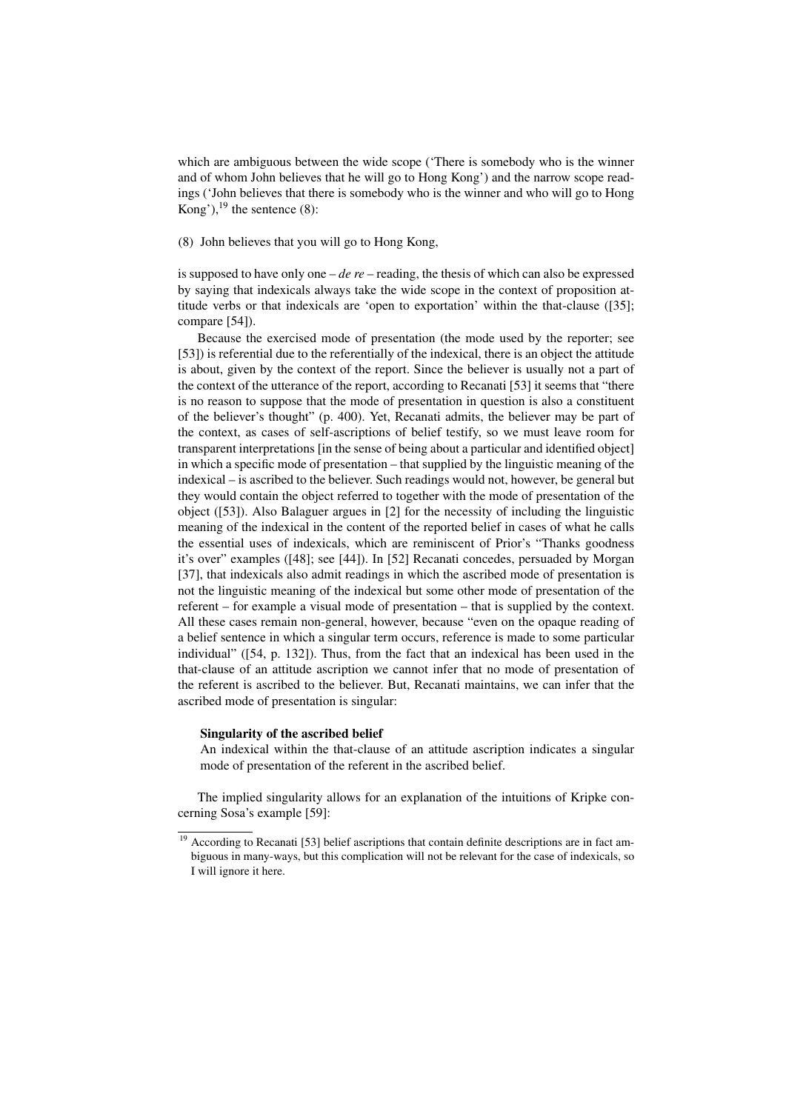which are ambiguous between the wide scope ('There is somebody who is the winner and of whom John believes that he will go to Hong Kong') and the narrow scope readings ('John believes that there is somebody who is the winner and who will go to Hong Kong'), $^{19}$  the sentence (8):

# (8) John believes that you will go to Hong Kong,

is supposed to have only one – *de re* – reading, the thesis of which can also be expressed by saying that indexicals always take the wide scope in the context of proposition attitude verbs or that indexicals are 'open to exportation' within the that-clause ([35]; compare [54]).

Because the exercised mode of presentation (the mode used by the reporter; see [53]) is referential due to the referentially of the indexical, there is an object the attitude is about, given by the context of the report. Since the believer is usually not a part of the context of the utterance of the report, according to Recanati [53] it seems that "there is no reason to suppose that the mode of presentation in question is also a constituent of the believer's thought" (p. 400). Yet, Recanati admits, the believer may be part of the context, as cases of self-ascriptions of belief testify, so we must leave room for transparent interpretations [in the sense of being about a particular and identified object] in which a specific mode of presentation – that supplied by the linguistic meaning of the indexical – is ascribed to the believer. Such readings would not, however, be general but they would contain the object referred to together with the mode of presentation of the object ([53]). Also Balaguer argues in [2] for the necessity of including the linguistic meaning of the indexical in the content of the reported belief in cases of what he calls the essential uses of indexicals, which are reminiscent of Prior's "Thanks goodness it's over" examples ([48]; see [44]). In [52] Recanati concedes, persuaded by Morgan [37], that indexicals also admit readings in which the ascribed mode of presentation is not the linguistic meaning of the indexical but some other mode of presentation of the referent – for example a visual mode of presentation – that is supplied by the context. All these cases remain non-general, however, because "even on the opaque reading of a belief sentence in which a singular term occurs, reference is made to some particular individual" ([54, p. 132]). Thus, from the fact that an indexical has been used in the that-clause of an attitude ascription we cannot infer that no mode of presentation of the referent is ascribed to the believer. But, Recanati maintains, we can infer that the ascribed mode of presentation is singular:

#### Singularity of the ascribed belief

An indexical within the that-clause of an attitude ascription indicates a singular mode of presentation of the referent in the ascribed belief.

The implied singularity allows for an explanation of the intuitions of Kripke concerning Sosa's example [59]:

<sup>&</sup>lt;sup>19</sup> According to Recanati [53] belief ascriptions that contain definite descriptions are in fact ambiguous in many-ways, but this complication will not be relevant for the case of indexicals, so I will ignore it here.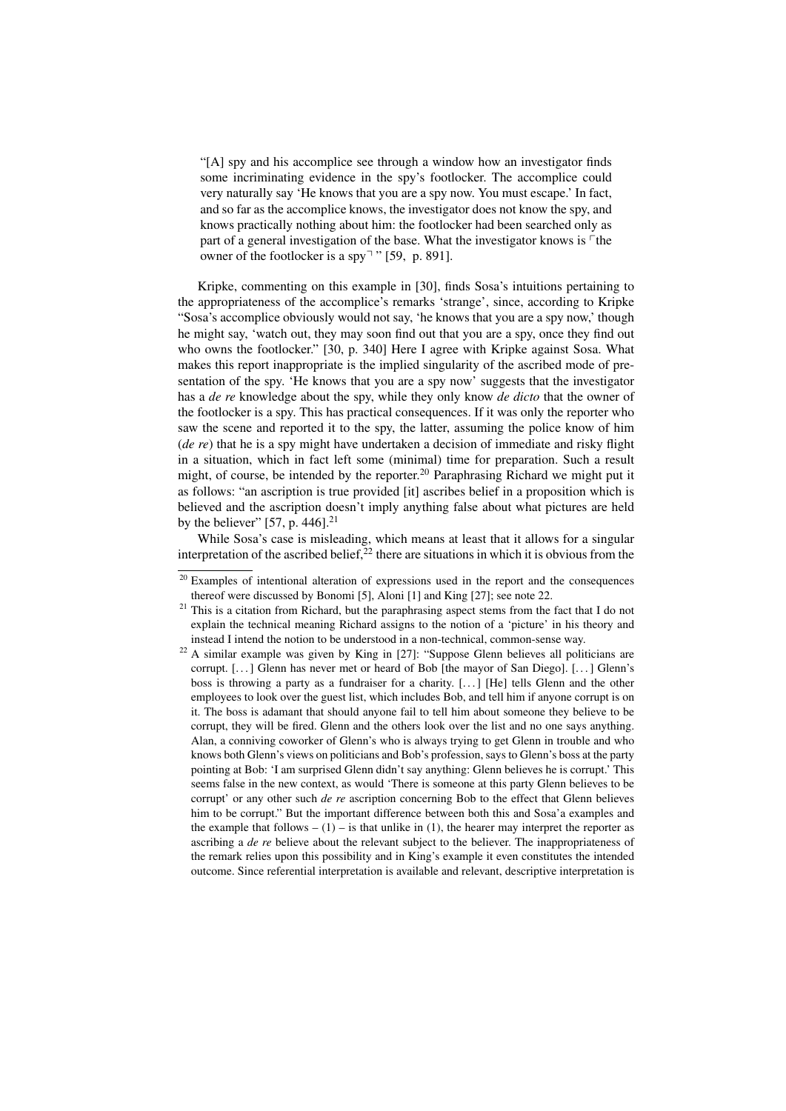"[A] spy and his accomplice see through a window how an investigator finds some incriminating evidence in the spy's footlocker. The accomplice could very naturally say 'He knows that you are a spy now. You must escape.' In fact, and so far as the accomplice knows, the investigator does not know the spy, and knows practically nothing about him: the footlocker had been searched only as part of a general investigation of the base. What the investigator knows is  $\ulcorner$  the owner of the footlocker is a spy<sup> $\neg$ </sup> " [59, p. 891].

Kripke, commenting on this example in [30], finds Sosa's intuitions pertaining to the appropriateness of the accomplice's remarks 'strange', since, according to Kripke "Sosa's accomplice obviously would not say, 'he knows that you are a spy now,' though he might say, 'watch out, they may soon find out that you are a spy, once they find out who owns the footlocker." [30, p. 340] Here I agree with Kripke against Sosa. What makes this report inappropriate is the implied singularity of the ascribed mode of presentation of the spy. 'He knows that you are a spy now' suggests that the investigator has a *de re* knowledge about the spy, while they only know *de dicto* that the owner of the footlocker is a spy. This has practical consequences. If it was only the reporter who saw the scene and reported it to the spy, the latter, assuming the police know of him (*de re*) that he is a spy might have undertaken a decision of immediate and risky flight in a situation, which in fact left some (minimal) time for preparation. Such a result might, of course, be intended by the reporter.<sup>20</sup> Paraphrasing Richard we might put it as follows: "an ascription is true provided [it] ascribes belief in a proposition which is believed and the ascription doesn't imply anything false about what pictures are held by the believer" [57, p. 446].<sup>21</sup>

While Sosa's case is misleading, which means at least that it allows for a singular interpretation of the ascribed belief, $\frac{2}{3}$  there are situations in which it is obvious from the

<sup>&</sup>lt;sup>20</sup> Examples of intentional alteration of expressions used in the report and the consequences thereof were discussed by Bonomi [5], Aloni [1] and King [27]; see note 22.

<sup>&</sup>lt;sup>21</sup> This is a citation from Richard, but the paraphrasing aspect stems from the fact that I do not explain the technical meaning Richard assigns to the notion of a 'picture' in his theory and instead I intend the notion to be understood in a non-technical, common-sense way.

<sup>&</sup>lt;sup>22</sup> A similar example was given by King in [27]: "Suppose Glenn believes all politicians are corrupt. [...] Glenn has never met or heard of Bob [the mayor of San Diego]. [...] Glenn's boss is throwing a party as a fundraiser for a charity. [. . . ] [He] tells Glenn and the other employees to look over the guest list, which includes Bob, and tell him if anyone corrupt is on it. The boss is adamant that should anyone fail to tell him about someone they believe to be corrupt, they will be fired. Glenn and the others look over the list and no one says anything. Alan, a conniving coworker of Glenn's who is always trying to get Glenn in trouble and who knows both Glenn's views on politicians and Bob's profession, says to Glenn's boss at the party pointing at Bob: 'I am surprised Glenn didn't say anything: Glenn believes he is corrupt.' This seems false in the new context, as would 'There is someone at this party Glenn believes to be corrupt' or any other such *de re* ascription concerning Bob to the effect that Glenn believes him to be corrupt." But the important difference between both this and Sosa'a examples and the example that follows  $- (1) -$  is that unlike in  $(1)$ , the hearer may interpret the reporter as ascribing a *de re* believe about the relevant subject to the believer. The inappropriateness of the remark relies upon this possibility and in King's example it even constitutes the intended outcome. Since referential interpretation is available and relevant, descriptive interpretation is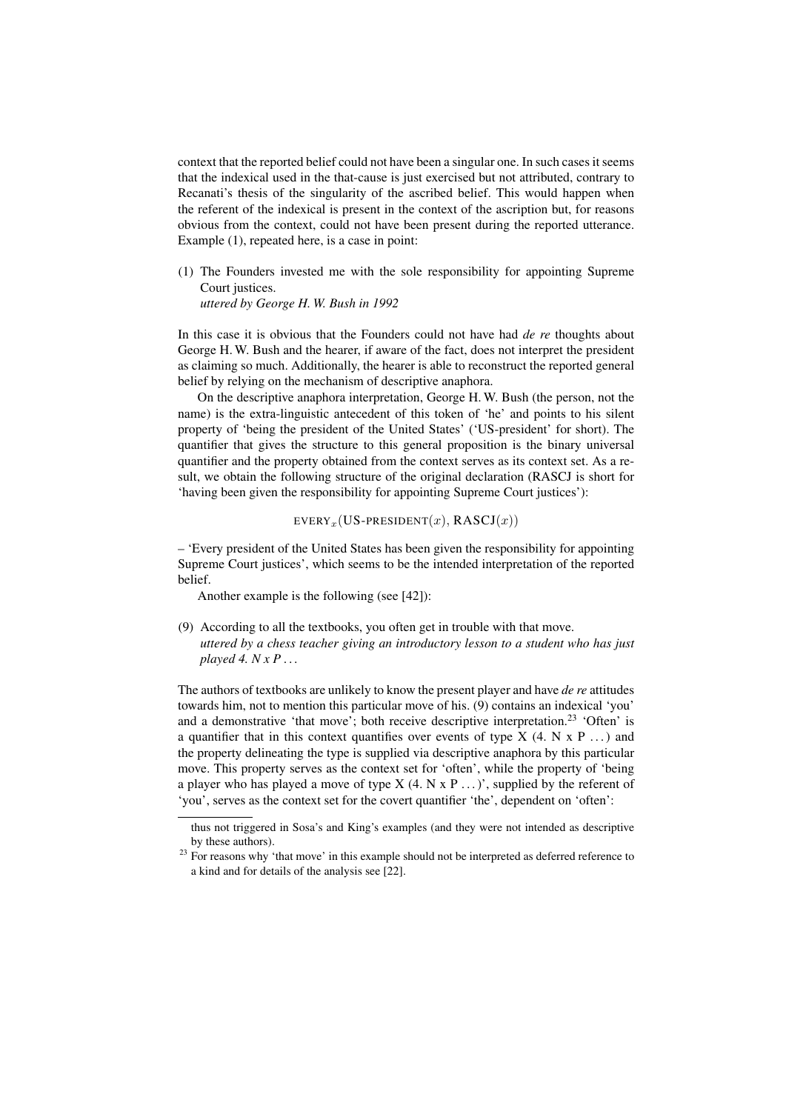context that the reported belief could not have been a singular one. In such cases it seems that the indexical used in the that-cause is just exercised but not attributed, contrary to Recanati's thesis of the singularity of the ascribed belief. This would happen when the referent of the indexical is present in the context of the ascription but, for reasons obvious from the context, could not have been present during the reported utterance. Example (1), repeated here, is a case in point:

(1) The Founders invested me with the sole responsibility for appointing Supreme Court justices.

*uttered by George H. W. Bush in 1992*

In this case it is obvious that the Founders could not have had *de re* thoughts about George H. W. Bush and the hearer, if aware of the fact, does not interpret the president as claiming so much. Additionally, the hearer is able to reconstruct the reported general belief by relying on the mechanism of descriptive anaphora.

On the descriptive anaphora interpretation, George H. W. Bush (the person, not the name) is the extra-linguistic antecedent of this token of 'he' and points to his silent property of 'being the president of the United States' ('US-president' for short). The quantifier that gives the structure to this general proposition is the binary universal quantifier and the property obtained from the context serves as its context set. As a result, we obtain the following structure of the original declaration (RASCJ is short for 'having been given the responsibility for appointing Supreme Court justices'):

EVERY<sub>x</sub>(US-PRESIDENT(x), RASCJ(x))

– 'Every president of the United States has been given the responsibility for appointing Supreme Court justices', which seems to be the intended interpretation of the reported belief.

Another example is the following (see [42]):

(9) According to all the textbooks, you often get in trouble with that move. *uttered by a chess teacher giving an introductory lesson to a student who has just played 4. N x P . . .*

The authors of textbooks are unlikely to know the present player and have *de re* attitudes towards him, not to mention this particular move of his. (9) contains an indexical 'you' and a demonstrative 'that move'; both receive descriptive interpretation.<sup>23</sup> 'Often' is a quantifier that in this context quantifies over events of type  $X$  (4. N  $X$  P  $\dots$ ) and the property delineating the type is supplied via descriptive anaphora by this particular move. This property serves as the context set for 'often', while the property of 'being a player who has played a move of type  $X(4, N \times P ...)$ , supplied by the referent of 'you', serves as the context set for the covert quantifier 'the', dependent on 'often':

thus not triggered in Sosa's and King's examples (and they were not intended as descriptive by these authors).

<sup>&</sup>lt;sup>23</sup> For reasons why 'that move' in this example should not be interpreted as deferred reference to a kind and for details of the analysis see [22].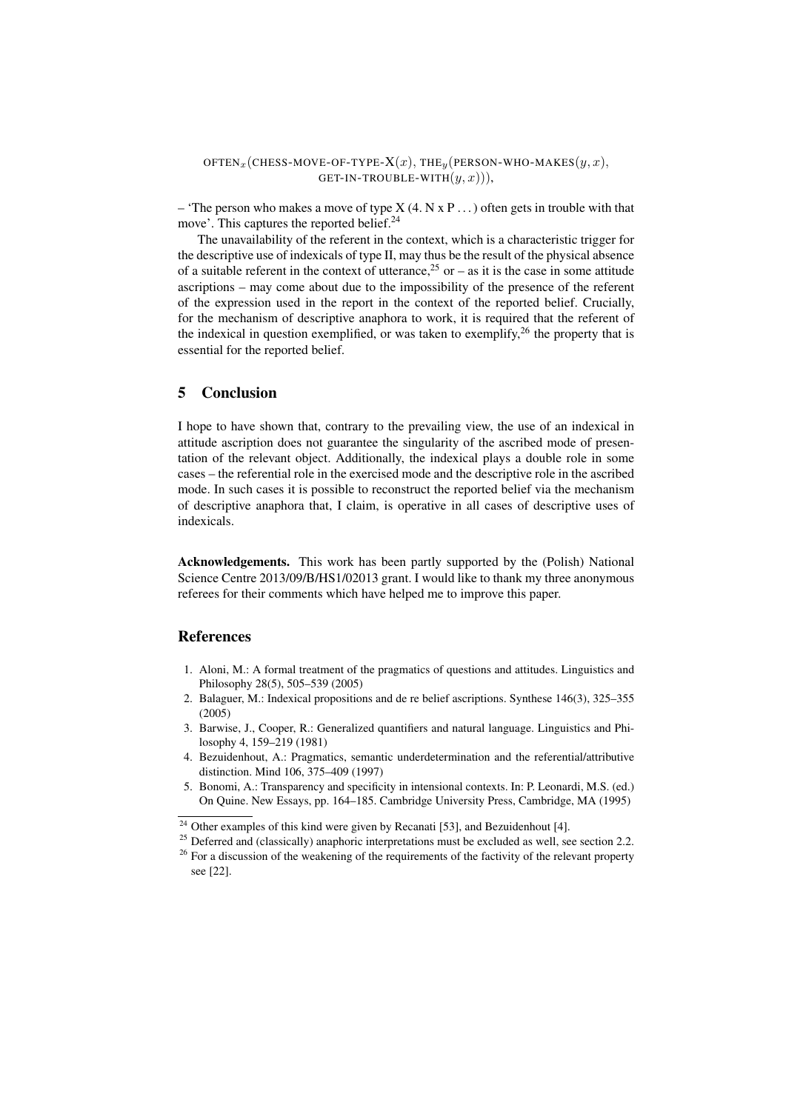OFTEN<sub>x</sub> (CHESS-MOVE-OF-TYPE- $X(x)$ , THE<sub>y</sub> (PERSON-WHO-MAKES $(y, x)$ ), GET-IN-TROUBLE-WITH $(y, x)$ ),

– 'The person who makes a move of type  $X(4. N \times P ...)$  often gets in trouble with that move'. This captures the reported belief.<sup>24</sup>

The unavailability of the referent in the context, which is a characteristic trigger for the descriptive use of indexicals of type II, may thus be the result of the physical absence of a suitable referent in the context of utterance,  $^{25}$  or – as it is the case in some attitude ascriptions – may come about due to the impossibility of the presence of the referent of the expression used in the report in the context of the reported belief. Crucially, for the mechanism of descriptive anaphora to work, it is required that the referent of the indexical in question exemplified, or was taken to exemplify,  $2<sup>6</sup>$  the property that is essential for the reported belief.

# 5 Conclusion

I hope to have shown that, contrary to the prevailing view, the use of an indexical in attitude ascription does not guarantee the singularity of the ascribed mode of presentation of the relevant object. Additionally, the indexical plays a double role in some cases – the referential role in the exercised mode and the descriptive role in the ascribed mode. In such cases it is possible to reconstruct the reported belief via the mechanism of descriptive anaphora that, I claim, is operative in all cases of descriptive uses of indexicals.

Acknowledgements. This work has been partly supported by the (Polish) National Science Centre 2013/09/B/HS1/02013 grant. I would like to thank my three anonymous referees for their comments which have helped me to improve this paper.

# References

- 1. Aloni, M.: A formal treatment of the pragmatics of questions and attitudes. Linguistics and Philosophy 28(5), 505–539 (2005)
- 2. Balaguer, M.: Indexical propositions and de re belief ascriptions. Synthese 146(3), 325–355 (2005)
- 3. Barwise, J., Cooper, R.: Generalized quantifiers and natural language. Linguistics and Philosophy 4, 159–219 (1981)
- 4. Bezuidenhout, A.: Pragmatics, semantic underdetermination and the referential/attributive distinction. Mind 106, 375–409 (1997)
- 5. Bonomi, A.: Transparency and specificity in intensional contexts. In: P. Leonardi, M.S. (ed.) On Quine. New Essays, pp. 164–185. Cambridge University Press, Cambridge, MA (1995)

 $24$  Other examples of this kind were given by Recanati [53], and Bezuidenhout [4].

 $25$  Deferred and (classically) anaphoric interpretations must be excluded as well, see section 2.2. <sup>26</sup> For a discussion of the weakening of the requirements of the factivity of the relevant property see [22].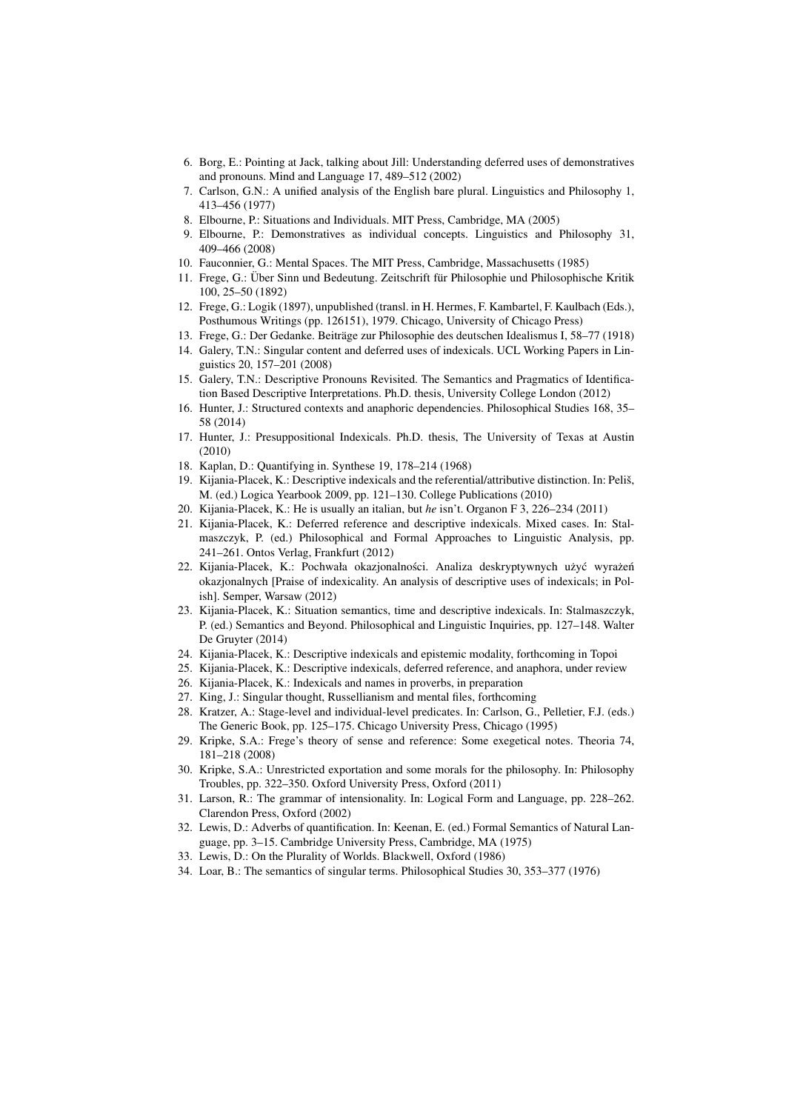- 6. Borg, E.: Pointing at Jack, talking about Jill: Understanding deferred uses of demonstratives and pronouns. Mind and Language 17, 489–512 (2002)
- 7. Carlson, G.N.: A unified analysis of the English bare plural. Linguistics and Philosophy 1, 413–456 (1977)
- 8. Elbourne, P.: Situations and Individuals. MIT Press, Cambridge, MA (2005)
- 9. Elbourne, P.: Demonstratives as individual concepts. Linguistics and Philosophy 31, 409–466 (2008)
- 10. Fauconnier, G.: Mental Spaces. The MIT Press, Cambridge, Massachusetts (1985)
- 11. Frege, G.: Über Sinn und Bedeutung. Zeitschrift für Philosophie und Philosophische Kritik 100, 25–50 (1892)
- 12. Frege, G.: Logik (1897), unpublished (transl. in H. Hermes, F. Kambartel, F. Kaulbach (Eds.), Posthumous Writings (pp. 126151), 1979. Chicago, University of Chicago Press)
- 13. Frege, G.: Der Gedanke. Beitrage zur Philosophie des deutschen Idealismus I, 58–77 (1918) ¨
- 14. Galery, T.N.: Singular content and deferred uses of indexicals. UCL Working Papers in Linguistics 20, 157–201 (2008)
- 15. Galery, T.N.: Descriptive Pronouns Revisited. The Semantics and Pragmatics of Identification Based Descriptive Interpretations. Ph.D. thesis, University College London (2012)
- 16. Hunter, J.: Structured contexts and anaphoric dependencies. Philosophical Studies 168, 35– 58 (2014)
- 17. Hunter, J.: Presuppositional Indexicals. Ph.D. thesis, The University of Texas at Austin (2010)
- 18. Kaplan, D.: Quantifying in. Synthese 19, 178–214 (1968)
- 19. Kijania-Placek, K.: Descriptive indexicals and the referential/attributive distinction. In: Peliš, M. (ed.) Logica Yearbook 2009, pp. 121–130. College Publications (2010)
- 20. Kijania-Placek, K.: He is usually an italian, but *he* isn't. Organon F 3, 226–234 (2011)
- 21. Kijania-Placek, K.: Deferred reference and descriptive indexicals. Mixed cases. In: Stalmaszczyk, P. (ed.) Philosophical and Formal Approaches to Linguistic Analysis, pp. 241–261. Ontos Verlag, Frankfurt (2012)
- 22. Kijania-Placek, K.: Pochwała okazjonalności. Analiza deskryptywnych użyć wyrażeń okazjonalnych [Praise of indexicality. An analysis of descriptive uses of indexicals; in Polish]. Semper, Warsaw (2012)
- 23. Kijania-Placek, K.: Situation semantics, time and descriptive indexicals. In: Stalmaszczyk, P. (ed.) Semantics and Beyond. Philosophical and Linguistic Inquiries, pp. 127–148. Walter De Gruyter (2014)
- 24. Kijania-Placek, K.: Descriptive indexicals and epistemic modality, forthcoming in Topoi
- 25. Kijania-Placek, K.: Descriptive indexicals, deferred reference, and anaphora, under review
- 26. Kijania-Placek, K.: Indexicals and names in proverbs, in preparation
- 27. King, J.: Singular thought, Russellianism and mental files, forthcoming
- 28. Kratzer, A.: Stage-level and individual-level predicates. In: Carlson, G., Pelletier, F.J. (eds.) The Generic Book, pp. 125–175. Chicago University Press, Chicago (1995)
- 29. Kripke, S.A.: Frege's theory of sense and reference: Some exegetical notes. Theoria 74, 181–218 (2008)
- 30. Kripke, S.A.: Unrestricted exportation and some morals for the philosophy. In: Philosophy Troubles, pp. 322–350. Oxford University Press, Oxford (2011)
- 31. Larson, R.: The grammar of intensionality. In: Logical Form and Language, pp. 228–262. Clarendon Press, Oxford (2002)
- 32. Lewis, D.: Adverbs of quantification. In: Keenan, E. (ed.) Formal Semantics of Natural Language, pp. 3–15. Cambridge University Press, Cambridge, MA (1975)
- 33. Lewis, D.: On the Plurality of Worlds. Blackwell, Oxford (1986)
- 34. Loar, B.: The semantics of singular terms. Philosophical Studies 30, 353–377 (1976)